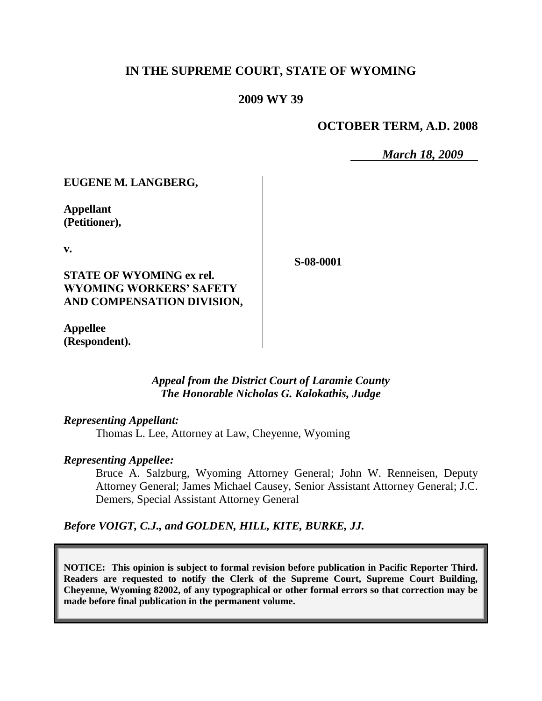# **IN THE SUPREME COURT, STATE OF WYOMING**

#### **2009 WY 39**

## **OCTOBER TERM, A.D. 2008**

*March 18, 2009*

### **EUGENE M. LANGBERG,**

**Appellant (Petitioner),**

**v.**

### **STATE OF WYOMING ex rel. WYOMING WORKERS' SAFETY AND COMPENSATION DIVISION,**

**Appellee (Respondent).**

### *Appeal from the District Court of Laramie County The Honorable Nicholas G. Kalokathis, Judge*

#### *Representing Appellant:*

Thomas L. Lee, Attorney at Law, Cheyenne, Wyoming

#### *Representing Appellee:*

Bruce A. Salzburg, Wyoming Attorney General; John W. Renneisen, Deputy Attorney General; James Michael Causey, Senior Assistant Attorney General; J.C. Demers, Special Assistant Attorney General

#### *Before VOIGT, C.J., and GOLDEN, HILL, KITE, BURKE, JJ.*

**NOTICE: This opinion is subject to formal revision before publication in Pacific Reporter Third. Readers are requested to notify the Clerk of the Supreme Court, Supreme Court Building, Cheyenne, Wyoming 82002, of any typographical or other formal errors so that correction may be made before final publication in the permanent volume.**

**S-08-0001**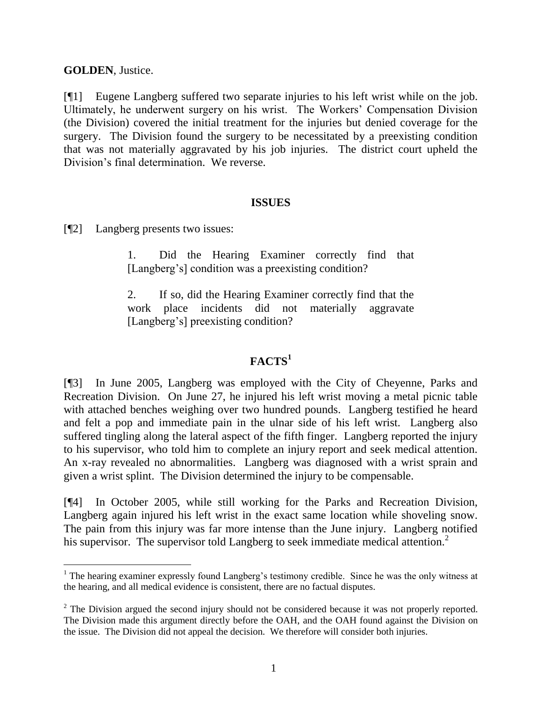# **GOLDEN**, Justice.

 $\overline{a}$ 

[¶1] Eugene Langberg suffered two separate injuries to his left wrist while on the job. Ultimately, he underwent surgery on his wrist. The Workers" Compensation Division (the Division) covered the initial treatment for the injuries but denied coverage for the surgery. The Division found the surgery to be necessitated by a preexisting condition that was not materially aggravated by his job injuries. The district court upheld the Division"s final determination. We reverse.

### **ISSUES**

[¶2] Langberg presents two issues:

1. Did the Hearing Examiner correctly find that [Langberg"s] condition was a preexisting condition?

2. If so, did the Hearing Examiner correctly find that the work place incidents did not materially aggravate [Langberg's] preexisting condition?

# **FACTS<sup>1</sup>**

[¶3] In June 2005, Langberg was employed with the City of Cheyenne, Parks and Recreation Division. On June 27, he injured his left wrist moving a metal picnic table with attached benches weighing over two hundred pounds. Langberg testified he heard and felt a pop and immediate pain in the ulnar side of his left wrist. Langberg also suffered tingling along the lateral aspect of the fifth finger. Langberg reported the injury to his supervisor, who told him to complete an injury report and seek medical attention. An x-ray revealed no abnormalities. Langberg was diagnosed with a wrist sprain and given a wrist splint. The Division determined the injury to be compensable.

[¶4] In October 2005, while still working for the Parks and Recreation Division, Langberg again injured his left wrist in the exact same location while shoveling snow. The pain from this injury was far more intense than the June injury. Langberg notified his supervisor. The supervisor told Langberg to seek immediate medical attention.<sup>2</sup>

 $1$  The hearing examiner expressly found Langberg's testimony credible. Since he was the only witness at the hearing, and all medical evidence is consistent, there are no factual disputes.

 $2^2$  The Division argued the second injury should not be considered because it was not properly reported. The Division made this argument directly before the OAH, and the OAH found against the Division on the issue. The Division did not appeal the decision. We therefore will consider both injuries.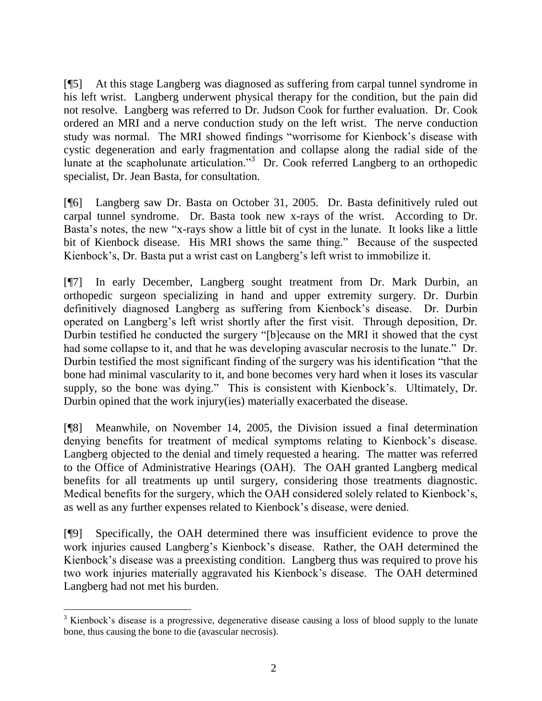[¶5] At this stage Langberg was diagnosed as suffering from carpal tunnel syndrome in his left wrist. Langberg underwent physical therapy for the condition, but the pain did not resolve. Langberg was referred to Dr. Judson Cook for further evaluation. Dr. Cook ordered an MRI and a nerve conduction study on the left wrist. The nerve conduction study was normal. The MRI showed findings "worrisome for Kienbock"s disease with cystic degeneration and early fragmentation and collapse along the radial side of the lunate at the scapholunate articulation."<sup>3</sup> Dr. Cook referred Langberg to an orthopedic specialist, Dr. Jean Basta, for consultation.

[¶6] Langberg saw Dr. Basta on October 31, 2005. Dr. Basta definitively ruled out carpal tunnel syndrome. Dr. Basta took new x-rays of the wrist. According to Dr. Basta"s notes, the new "x-rays show a little bit of cyst in the lunate. It looks like a little bit of Kienbock disease. His MRI shows the same thing." Because of the suspected Kienbock"s, Dr. Basta put a wrist cast on Langberg"s left wrist to immobilize it.

[¶7] In early December, Langberg sought treatment from Dr. Mark Durbin, an orthopedic surgeon specializing in hand and upper extremity surgery. Dr. Durbin definitively diagnosed Langberg as suffering from Kienbock"s disease. Dr. Durbin operated on Langberg"s left wrist shortly after the first visit. Through deposition, Dr. Durbin testified he conducted the surgery "[b]ecause on the MRI it showed that the cyst had some collapse to it, and that he was developing avascular necrosis to the lunate." Dr. Durbin testified the most significant finding of the surgery was his identification "that the bone had minimal vascularity to it, and bone becomes very hard when it loses its vascular supply, so the bone was dying." This is consistent with Kienbock's. Ultimately, Dr. Durbin opined that the work injury(ies) materially exacerbated the disease.

[¶8] Meanwhile, on November 14, 2005, the Division issued a final determination denying benefits for treatment of medical symptoms relating to Kienbock"s disease. Langberg objected to the denial and timely requested a hearing. The matter was referred to the Office of Administrative Hearings (OAH). The OAH granted Langberg medical benefits for all treatments up until surgery, considering those treatments diagnostic. Medical benefits for the surgery, which the OAH considered solely related to Kienbock"s, as well as any further expenses related to Kienbock"s disease, were denied.

[¶9] Specifically, the OAH determined there was insufficient evidence to prove the work injuries caused Langberg"s Kienbock"s disease. Rather, the OAH determined the Kienbock"s disease was a preexisting condition. Langberg thus was required to prove his two work injuries materially aggravated his Kienbock"s disease. The OAH determined Langberg had not met his burden.

l

<sup>&</sup>lt;sup>3</sup> Kienbock's disease is a progressive, degenerative disease causing a loss of blood supply to the lunate bone, thus causing the bone to die (avascular necrosis).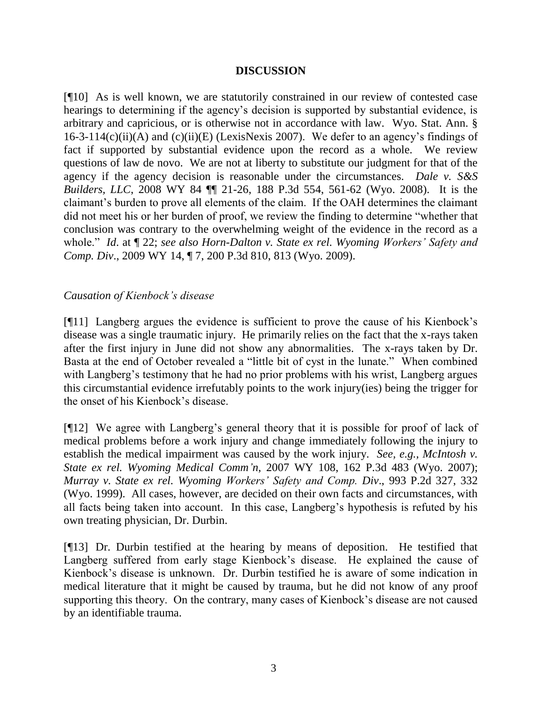### **DISCUSSION**

[¶10] As is well known, we are statutorily constrained in our review of contested case hearings to determining if the agency"s decision is supported by substantial evidence, is arbitrary and capricious, or is otherwise not in accordance with law. Wyo. Stat. Ann. §  $16-3-114(c)(ii)(A)$  and  $(c)(ii)(E)$  (LexisNexis 2007). We defer to an agency's findings of fact if supported by substantial evidence upon the record as a whole. We review questions of law de novo. We are not at liberty to substitute our judgment for that of the agency if the agency decision is reasonable under the circumstances. *Dale v. S&S Builders, LLC*, 2008 WY 84 ¶¶ 21-26, 188 P.3d 554, 561-62 (Wyo. 2008). It is the claimant"s burden to prove all elements of the claim. If the OAH determines the claimant did not meet his or her burden of proof, we review the finding to determine "whether that conclusion was contrary to the overwhelming weight of the evidence in the record as a whole." *Id*. at ¶ 22; *see also Horn-Dalton v. State ex rel. Wyoming Workers' Safety and Comp. Div*., 2009 WY 14, ¶ 7, 200 P.3d 810, 813 (Wyo. 2009).

# *Causation of Kienbock's disease*

[¶11] Langberg argues the evidence is sufficient to prove the cause of his Kienbock"s disease was a single traumatic injury. He primarily relies on the fact that the x-rays taken after the first injury in June did not show any abnormalities. The x-rays taken by Dr. Basta at the end of October revealed a "little bit of cyst in the lunate." When combined with Langberg's testimony that he had no prior problems with his wrist, Langberg argues this circumstantial evidence irrefutably points to the work injury(ies) being the trigger for the onset of his Kienbock"s disease.

[¶12] We agree with Langberg"s general theory that it is possible for proof of lack of medical problems before a work injury and change immediately following the injury to establish the medical impairment was caused by the work injury. *See, e.g., McIntosh v. State ex rel. Wyoming Medical Comm'n*, 2007 WY 108, 162 P.3d 483 (Wyo. 2007); *Murray v. State ex rel. Wyoming Workers' Safety and Comp. Div*., 993 P.2d 327, 332 (Wyo. 1999). All cases, however, are decided on their own facts and circumstances, with all facts being taken into account. In this case, Langberg"s hypothesis is refuted by his own treating physician, Dr. Durbin.

[¶13] Dr. Durbin testified at the hearing by means of deposition. He testified that Langberg suffered from early stage Kienbock's disease. He explained the cause of Kienbock"s disease is unknown. Dr. Durbin testified he is aware of some indication in medical literature that it might be caused by trauma, but he did not know of any proof supporting this theory. On the contrary, many cases of Kienbock"s disease are not caused by an identifiable trauma.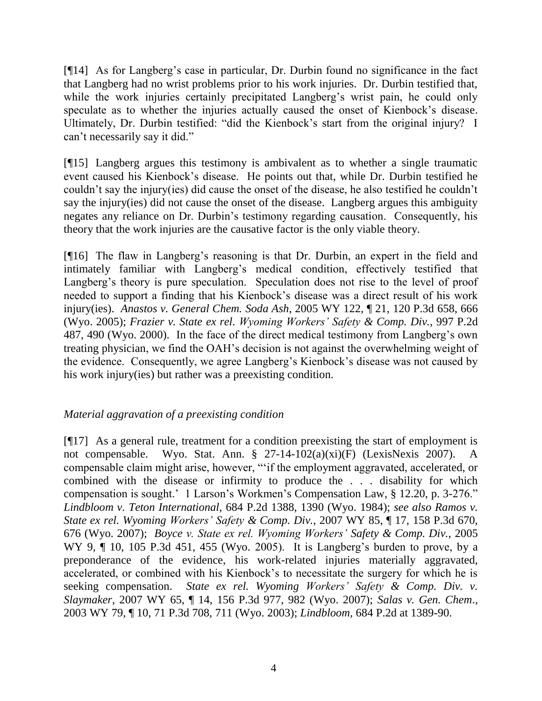[¶14] As for Langberg"s case in particular, Dr. Durbin found no significance in the fact that Langberg had no wrist problems prior to his work injuries. Dr. Durbin testified that, while the work injuries certainly precipitated Langberg's wrist pain, he could only speculate as to whether the injuries actually caused the onset of Kienbock's disease. Ultimately, Dr. Durbin testified: "did the Kienbock"s start from the original injury? I can"t necessarily say it did."

[¶15] Langberg argues this testimony is ambivalent as to whether a single traumatic event caused his Kienbock"s disease. He points out that, while Dr. Durbin testified he couldn"t say the injury(ies) did cause the onset of the disease, he also testified he couldn"t say the injury(ies) did not cause the onset of the disease. Langberg argues this ambiguity negates any reliance on Dr. Durbin"s testimony regarding causation. Consequently, his theory that the work injuries are the causative factor is the only viable theory.

[¶16] The flaw in Langberg's reasoning is that Dr. Durbin, an expert in the field and intimately familiar with Langberg"s medical condition, effectively testified that Langberg's theory is pure speculation. Speculation does not rise to the level of proof needed to support a finding that his Kienbock"s disease was a direct result of his work injury(ies). *Anastos v. General Chem. Soda Ash*, 2005 WY 122, ¶ 21, 120 P.3d 658, 666 (Wyo. 2005); *Frazier v. State ex rel. Wyoming Workers' Safety & Comp. Div.*, 997 P.2d 487, 490 (Wyo. 2000). In the face of the direct medical testimony from Langberg"s own treating physician, we find the OAH"s decision is not against the overwhelming weight of the evidence. Consequently, we agree Langberg"s Kienbock"s disease was not caused by his work injury(ies) but rather was a preexisting condition.

# *Material aggravation of a preexisting condition*

[¶17] As a general rule, treatment for a condition preexisting the start of employment is not compensable. Wyo. Stat. Ann. § 27-14-102(a)(xi)(F) (LexisNexis 2007). A compensable claim might arise, however, ""if the employment aggravated, accelerated, or combined with the disease or infirmity to produce the . . . disability for which compensation is sought." 1 Larson"s Workmen"s Compensation Law, § 12.20, p. 3-276." *Lindbloom v. Teton International*, 684 P.2d 1388, 1390 (Wyo. 1984); *see also Ramos v. State ex rel. Wyoming Workers' Safety & Comp. Div.*, 2007 WY 85, ¶ 17, 158 P.3d 670, 676 (Wyo. 2007); *Boyce v. State ex rel. Wyoming Workers' Safety & Comp. Div.*, 2005 WY 9, ¶ 10, 105 P.3d 451, 455 (Wyo. 2005). It is Langberg's burden to prove, by a preponderance of the evidence, his work-related injuries materially aggravated, accelerated, or combined with his Kienbock"s to necessitate the surgery for which he is seeking compensation. *State ex rel. Wyoming Workers' Safety & Comp. Div. v. Slaymaker*, 2007 WY 65, ¶ 14, 156 P.3d 977, 982 (Wyo. 2007); *Salas v. Gen. Chem*., 2003 WY 79, ¶ 10, 71 P.3d 708, 711 (Wyo. 2003); *Lindbloom,* 684 P.2d at 1389-90.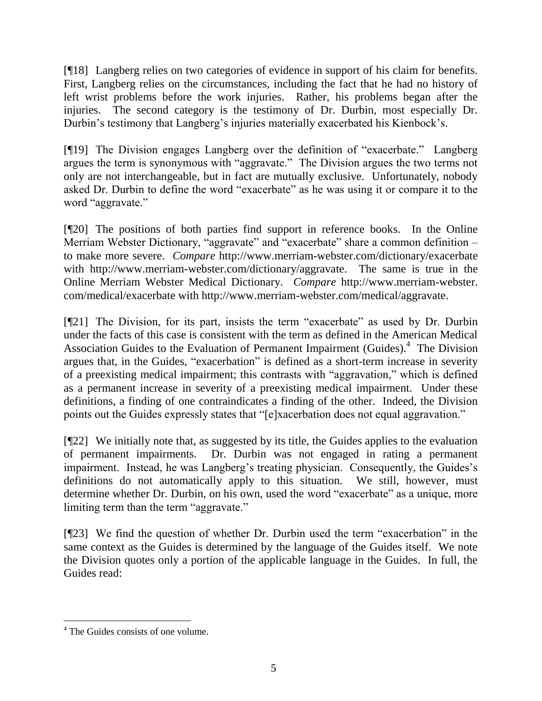[¶18] Langberg relies on two categories of evidence in support of his claim for benefits. First, Langberg relies on the circumstances, including the fact that he had no history of left wrist problems before the work injuries. Rather, his problems began after the injuries. The second category is the testimony of Dr. Durbin, most especially Dr. Durbin's testimony that Langberg's injuries materially exacerbated his Kienbock's.

[¶19] The Division engages Langberg over the definition of "exacerbate." Langberg argues the term is synonymous with "aggravate." The Division argues the two terms not only are not interchangeable, but in fact are mutually exclusive. Unfortunately, nobody asked Dr. Durbin to define the word "exacerbate" as he was using it or compare it to the word "aggravate."

[¶20] The positions of both parties find support in reference books. In the Online Merriam Webster Dictionary, "aggravate" and "exacerbate" share a common definition to make more severe. *Compare* http://www.merriam-webster.com/dictionary/exacerbate with http://www.merriam-webster.com/dictionary/aggravate. The same is true in the Online Merriam Webster Medical Dictionary. *Compare* http://www.merriam-webster. com/medical/exacerbate with http://www.merriam-webster.com/medical/aggravate.

[¶21] The Division, for its part, insists the term "exacerbate" as used by Dr. Durbin under the facts of this case is consistent with the term as defined in the American Medical Association Guides to the Evaluation of Permanent Impairment (Guides).<sup>4</sup> The Division argues that, in the Guides, "exacerbation" is defined as a short-term increase in severity of a preexisting medical impairment; this contrasts with "aggravation," which is defined as a permanent increase in severity of a preexisting medical impairment. Under these definitions, a finding of one contraindicates a finding of the other. Indeed, the Division points out the Guides expressly states that "[e]xacerbation does not equal aggravation."

[¶22] We initially note that, as suggested by its title, the Guides applies to the evaluation of permanent impairments. Dr. Durbin was not engaged in rating a permanent impairment. Instead, he was Langberg's treating physician. Consequently, the Guides's definitions do not automatically apply to this situation. We still, however, must determine whether Dr. Durbin, on his own, used the word "exacerbate" as a unique, more limiting term than the term "aggravate."

[¶23] We find the question of whether Dr. Durbin used the term "exacerbation" in the same context as the Guides is determined by the language of the Guides itself. We note the Division quotes only a portion of the applicable language in the Guides. In full, the Guides read:

<sup>4</sup> The Guides consists of one volume.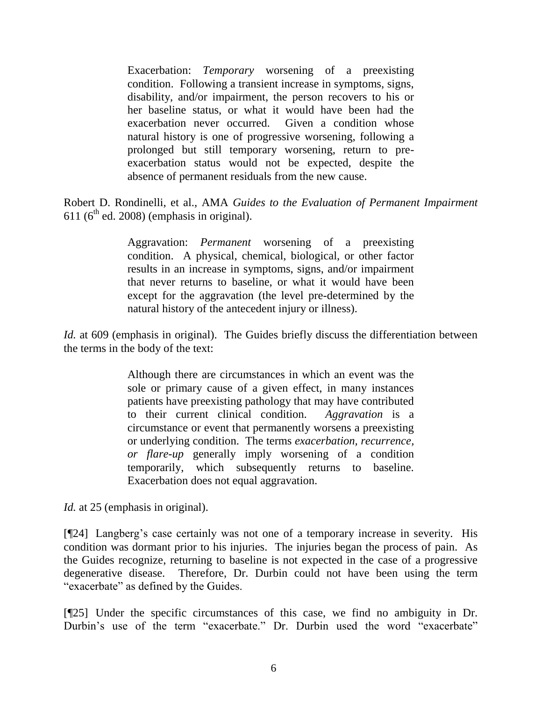Exacerbation: *Temporary* worsening of a preexisting condition. Following a transient increase in symptoms, signs, disability, and/or impairment, the person recovers to his or her baseline status, or what it would have been had the exacerbation never occurred. Given a condition whose natural history is one of progressive worsening, following a prolonged but still temporary worsening, return to preexacerbation status would not be expected, despite the absence of permanent residuals from the new cause.

Robert D. Rondinelli, et al., AMA *Guides to the Evaluation of Permanent Impairment* 611 ( $6<sup>th</sup>$  ed. 2008) (emphasis in original).

> Aggravation: *Permanent* worsening of a preexisting condition. A physical, chemical, biological, or other factor results in an increase in symptoms, signs, and/or impairment that never returns to baseline, or what it would have been except for the aggravation (the level pre-determined by the natural history of the antecedent injury or illness).

*Id.* at 609 (emphasis in original). The Guides briefly discuss the differentiation between the terms in the body of the text:

> Although there are circumstances in which an event was the sole or primary cause of a given effect, in many instances patients have preexisting pathology that may have contributed to their current clinical condition. *Aggravation* is a circumstance or event that permanently worsens a preexisting or underlying condition. The terms *exacerbation, recurrence, or flare-up* generally imply worsening of a condition temporarily, which subsequently returns to baseline. Exacerbation does not equal aggravation.

*Id.* at 25 (emphasis in original).

[¶24] Langberg's case certainly was not one of a temporary increase in severity. His condition was dormant prior to his injuries. The injuries began the process of pain. As the Guides recognize, returning to baseline is not expected in the case of a progressive degenerative disease. Therefore, Dr. Durbin could not have been using the term "exacerbate" as defined by the Guides.

[¶25] Under the specific circumstances of this case, we find no ambiguity in Dr. Durbin's use of the term "exacerbate." Dr. Durbin used the word "exacerbate"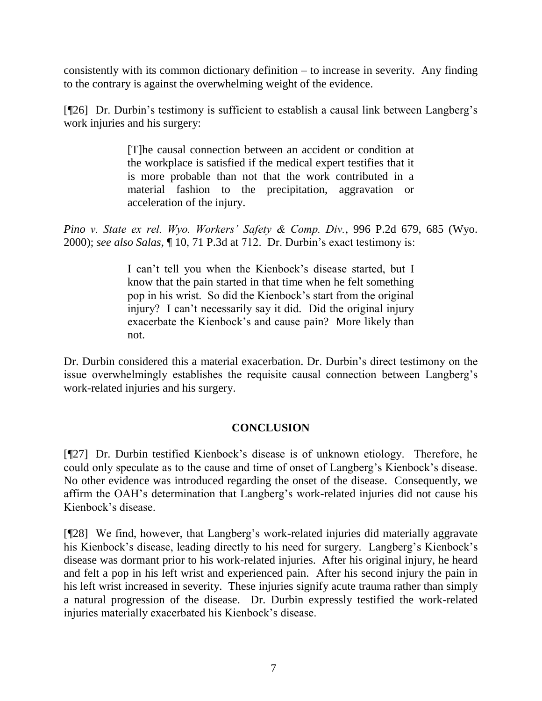consistently with its common dictionary definition – to increase in severity. Any finding to the contrary is against the overwhelming weight of the evidence.

[¶26] Dr. Durbin"s testimony is sufficient to establish a causal link between Langberg"s work injuries and his surgery:

> [T]he causal connection between an accident or condition at the workplace is satisfied if the medical expert testifies that it is more probable than not that the work contributed in a material fashion to the precipitation, aggravation or acceleration of the injury.

*Pino v. State ex rel. Wyo. Workers' Safety & Comp. Div.*, 996 P.2d 679, 685 (Wyo. 2000); *see also Salas*, ¶ 10, 71 P.3d at 712. Dr. Durbin"s exact testimony is:

> I can"t tell you when the Kienbock"s disease started, but I know that the pain started in that time when he felt something pop in his wrist. So did the Kienbock"s start from the original injury? I can"t necessarily say it did. Did the original injury exacerbate the Kienbock"s and cause pain? More likely than not.

Dr. Durbin considered this a material exacerbation. Dr. Durbin"s direct testimony on the issue overwhelmingly establishes the requisite causal connection between Langberg"s work-related injuries and his surgery.

# **CONCLUSION**

[¶27] Dr. Durbin testified Kienbock"s disease is of unknown etiology. Therefore, he could only speculate as to the cause and time of onset of Langberg"s Kienbock"s disease. No other evidence was introduced regarding the onset of the disease. Consequently, we affirm the OAH"s determination that Langberg"s work-related injuries did not cause his Kienbock"s disease.

[¶28] We find, however, that Langberg"s work-related injuries did materially aggravate his Kienbock's disease, leading directly to his need for surgery. Langberg's Kienbock's disease was dormant prior to his work-related injuries. After his original injury, he heard and felt a pop in his left wrist and experienced pain. After his second injury the pain in his left wrist increased in severity. These injuries signify acute trauma rather than simply a natural progression of the disease. Dr. Durbin expressly testified the work-related injuries materially exacerbated his Kienbock"s disease.